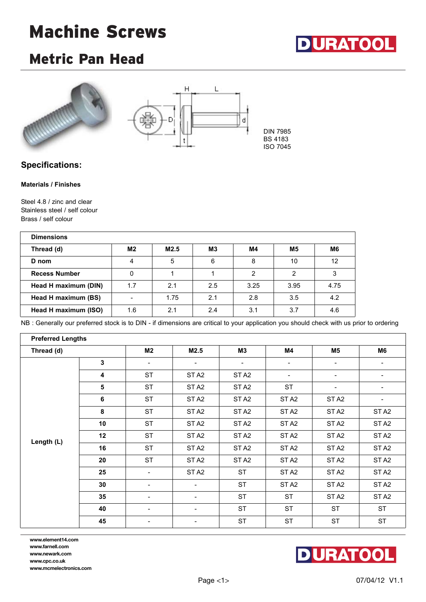# Machine Screws



### Metric Pan Head





### **Specifications:**

#### **Materials / Finishes**

Steel 4.8 / zinc and clear Stainless steel / self colour Brass / self colour

| <b>Dimensions</b>    |     |      |                |      |                |                |
|----------------------|-----|------|----------------|------|----------------|----------------|
| Thread (d)           | M2  | M2.5 | M <sub>3</sub> | M4   | M <sub>5</sub> | M <sub>6</sub> |
| D nom                | 4   | 5    | 6              | 8    | 10             | 12             |
| <b>Recess Number</b> | 0   |      |                | 2    | っ              | 3              |
| Head H maximum (DIN) | 1.7 | 2.1  | 2.5            | 3.25 | 3.95           | 4.75           |
| Head H maximum (BS)  |     | 1.75 | 2.1            | 2.8  | 3.5            | 4.2            |
| Head H maximum (ISO) | 1.6 | 2.1  | 2.4            | 3.1  | 3.7            | 4.6            |

NB : Generally our preferred stock is to DIN - if dimensions are critical to your application you should check with us prior to ordering

| <b>Preferred Lengths</b> |                                                                                                                                                                                                                                        |                                                                       |                                                          |                                                                                                                      |                          |                  |                  |
|--------------------------|----------------------------------------------------------------------------------------------------------------------------------------------------------------------------------------------------------------------------------------|-----------------------------------------------------------------------|----------------------------------------------------------|----------------------------------------------------------------------------------------------------------------------|--------------------------|------------------|------------------|
| Thread (d)               |                                                                                                                                                                                                                                        | M2                                                                    | M2.5                                                     | M <sub>3</sub>                                                                                                       | M4                       | M5               | M6               |
|                          | 3                                                                                                                                                                                                                                      | $\overline{\phantom{a}}$                                              | $\overline{\phantom{a}}$                                 | $\overline{\phantom{a}}$                                                                                             | $\overline{\phantom{a}}$ | -                |                  |
|                          | <b>ST</b><br>4<br>ST <sub>A2</sub><br>ST <sub>A2</sub><br>-<br><b>ST</b><br>$\overline{\mathbf{5}}$<br><b>ST</b><br>ST <sub>A2</sub><br>ST <sub>A2</sub><br><b>ST</b><br>6<br>ST <sub>A2</sub><br>ST <sub>A2</sub><br>ST <sub>A2</sub> | $\qquad \qquad \blacksquare$                                          | $\qquad \qquad \blacksquare$                             |                                                                                                                      |                          |                  |                  |
|                          |                                                                                                                                                                                                                                        |                                                                       |                                                          | ST <sub>A2</sub><br>ST <sub>A2</sub><br>ST <sub>A2</sub><br>ST <sub>A2</sub><br>ST <sub>A2</sub><br>ST <sub>A2</sub> | $\overline{\phantom{a}}$ |                  |                  |
|                          |                                                                                                                                                                                                                                        |                                                                       |                                                          |                                                                                                                      |                          | ST <sub>A2</sub> |                  |
|                          | 8                                                                                                                                                                                                                                      | <b>ST</b>                                                             | ST <sub>A2</sub>                                         |                                                                                                                      |                          | ST <sub>A2</sub> | ST <sub>A2</sub> |
|                          | 10                                                                                                                                                                                                                                     | <b>ST</b>                                                             | ST <sub>A2</sub>                                         |                                                                                                                      |                          | ST <sub>A2</sub> | ST <sub>A2</sub> |
|                          | 12                                                                                                                                                                                                                                     | <b>ST</b>                                                             | ST <sub>A2</sub>                                         |                                                                                                                      |                          | ST <sub>A2</sub> | ST <sub>A2</sub> |
| Length (L)               | 16                                                                                                                                                                                                                                     | <b>ST</b><br>ST <sub>A2</sub><br>ST <sub>A2</sub><br>ST <sub>A2</sub> | ST <sub>A2</sub>                                         | ST <sub>A2</sub>                                                                                                     |                          |                  |                  |
|                          | 20                                                                                                                                                                                                                                     | <b>ST</b>                                                             | ST <sub>A2</sub><br>ST <sub>A2</sub><br>ST <sub>A2</sub> | ST <sub>A2</sub>                                                                                                     | ST <sub>A2</sub>         |                  |                  |
|                          | 25                                                                                                                                                                                                                                     | $\blacksquare$                                                        | ST <sub>A2</sub>                                         | <b>ST</b>                                                                                                            | ST <sub>A2</sub>         | ST <sub>A2</sub> | ST <sub>A2</sub> |
|                          | 30                                                                                                                                                                                                                                     | $\overline{\phantom{a}}$                                              | $\overline{\phantom{a}}$                                 | <b>ST</b>                                                                                                            | ST <sub>A2</sub>         | ST <sub>A2</sub> | ST <sub>A2</sub> |
|                          | 35                                                                                                                                                                                                                                     | $\overline{\phantom{a}}$                                              |                                                          | <b>ST</b>                                                                                                            | <b>ST</b>                | ST <sub>A2</sub> | ST <sub>A2</sub> |
|                          | 40                                                                                                                                                                                                                                     | $\overline{\phantom{a}}$                                              | $\overline{\phantom{a}}$                                 | <b>ST</b>                                                                                                            | <b>ST</b>                | <b>ST</b>        | <b>ST</b>        |
|                          | 45                                                                                                                                                                                                                                     | $\overline{\phantom{a}}$                                              | $\overline{\phantom{a}}$                                 | <b>ST</b>                                                                                                            | <b>ST</b>                | <b>ST</b>        | <b>ST</b>        |

**www.element14.com www.farnell.com www.newark.com www.cpc.co.uk www.mcmelectronics.com**